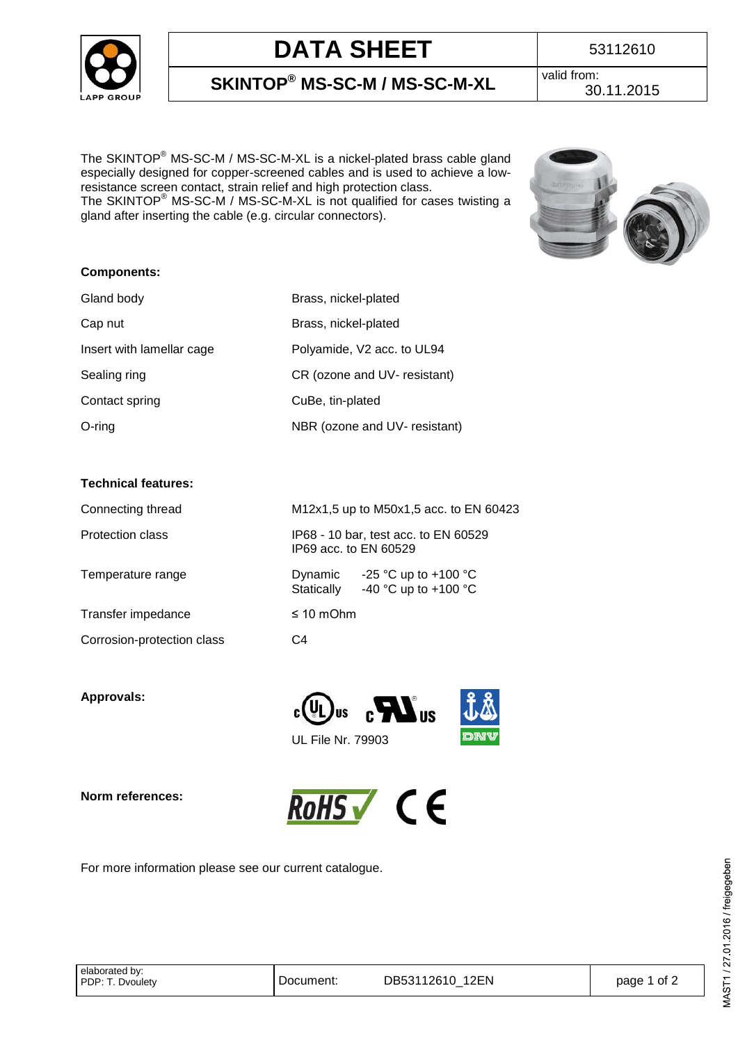

# **DATA SHEET** 53112610

**SKINTOP® MS-SC-M / MS-SC-M-XL** valid from:

The SKINTOP® MS-SC-M / MS-SC-M-XL is a nickel-plated brass cable gland especially designed for copper-screened cables and is used to achieve a lowresistance screen contact, strain relief and high protection class. The SKINTOP® MS-SC-M / MS-SC-M-XL is not qualified for cases twisting a gland after inserting the cable (e.g. circular connectors).



### **Components:**

| Gland body                | Brass, nickel-plated          |
|---------------------------|-------------------------------|
| Cap nut                   | Brass, nickel-plated          |
| Insert with lamellar cage | Polyamide, V2 acc. to UL94    |
| Sealing ring              | CR (ozone and UV- resistant)  |
| Contact spring            | CuBe, tin-plated              |
| $O$ -ring                 | NBR (ozone and UV- resistant) |

### **Technical features:**

| Connecting thread          | M12x1,5 up to M50x1,5 acc. to EN 60423                                |  |
|----------------------------|-----------------------------------------------------------------------|--|
| Protection class           | IP68 - 10 bar, test acc. to EN 60529<br>IP69 acc. to EN 60529         |  |
| Temperature range          | -25 °C up to +100 °C<br>Dynamic<br>-40 °C up to +100 °C<br>Statically |  |
| Transfer impedance         | $\leq 10$ mOhm                                                        |  |
| Corrosion-protection class | C4                                                                    |  |

**Approvals:** 



**Norm references:** 



For more information please see our current catalogue.